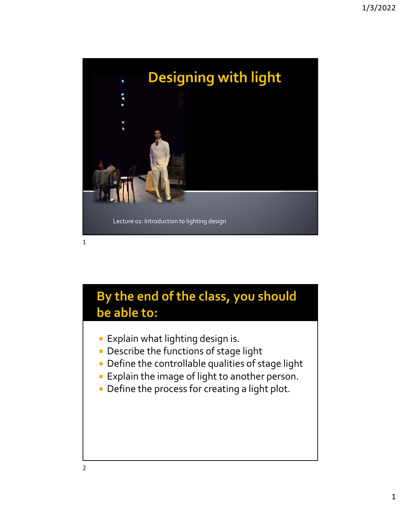

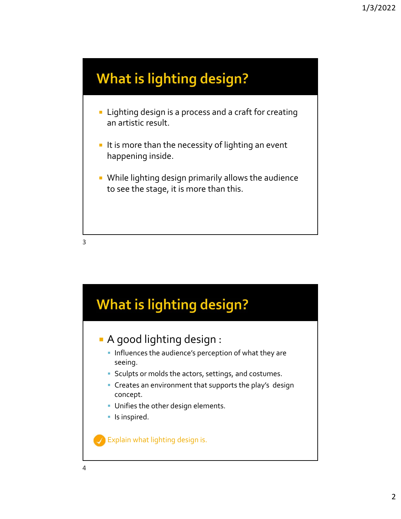## **What is lighting design?**

- **EXT** Lighting design is a process and a craft for creating an artistic result.
- $\blacksquare$  It is more than the necessity of lighting an event happening inside.
- **While lighting design primarily allows the audience** to see the stage, it is more than this.



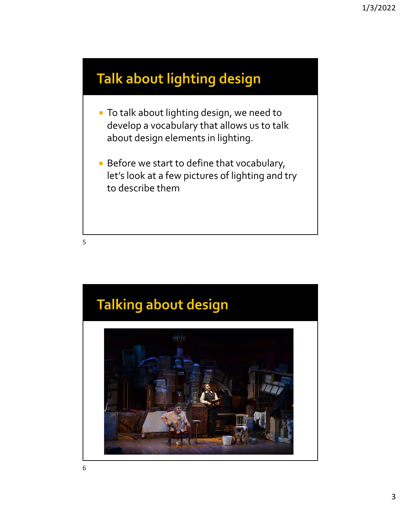### **Talk about lighting design**

- **To talk about lighting design, we need to** develop a vocabulary that allows us to talk about design elements in lighting.
- **Before we start to define that vocabulary,** let's look at a few pictures of lighting and try to describe them

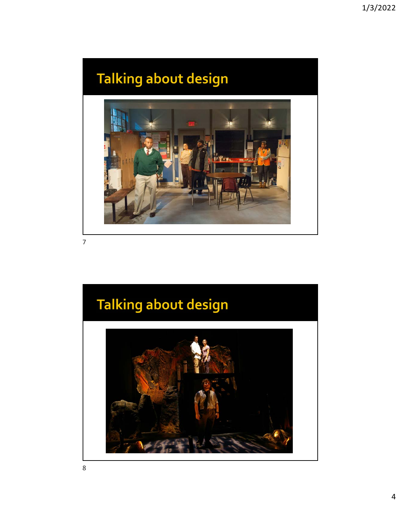## **Talking about design**



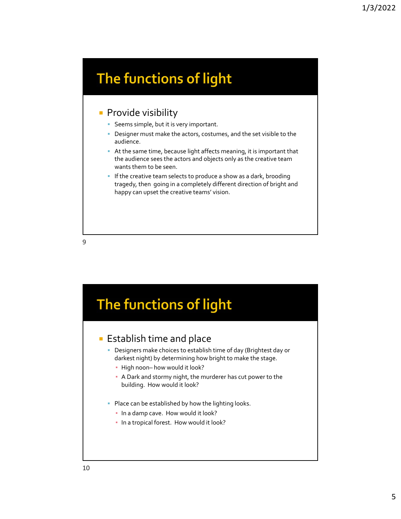## The functions of light

### **Provide visibility**

- **Seems simple, but it is very important.**
- **Designer must make the actors, costumes, and the set visible to the** audience.
- At the same time, because light affects meaning, it is important that the audience sees the actors and objects only as the creative team wants them to be seen.
- **If the creative team selects to produce a show as a dark, brooding** tragedy, then going in a completely different direction of bright and happy can upset the creative teams' vision.

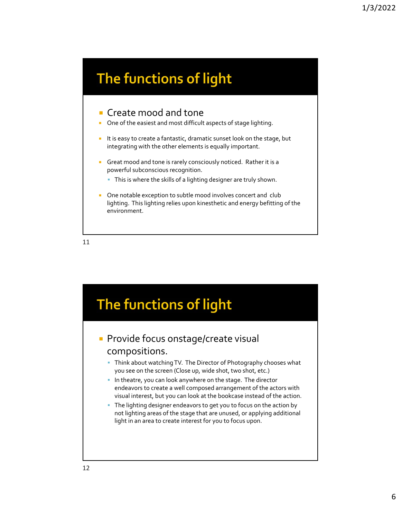## The functions of light

#### Create mood and tone

- One of the easiest and most difficult aspects of stage lighting.
- I It is easy to create a fantastic, dramatic sunset look on the stage, but integrating with the other elements is equally important.
- Great mood and tone is rarely consciously noticed. Rather it is a powerful subconscious recognition.
	- This is where the skills of a lighting designer are truly shown.
- **Diam** One notable exception to subtle mood involves concert and club lighting. This lighting relies upon kinesthetic and energy befitting of the environment.

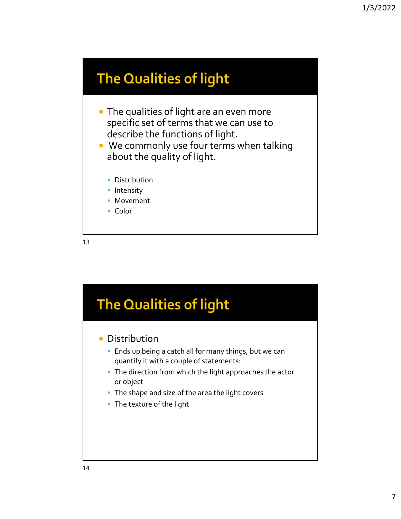### **The Qualities of light**

- **The qualities of light are an even more** specific set of terms that we can use to describe the functions of light.
- **We commonly use four terms when talking** about the quality of light.
	- **Distribution**
	- **Intensity**
	- **Movement**
	- Color

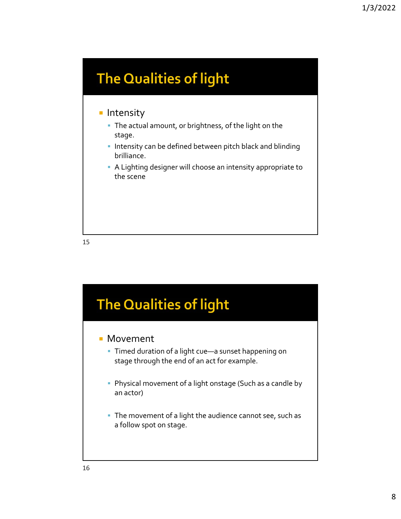## **The Qualities of light**

### **Intensity**

- The actual amount, or brightness, of the light on the stage.
- **Intensity can be defined between pitch black and blinding** brilliance.
- A Lighting designer will choose an intensity appropriate to the scene

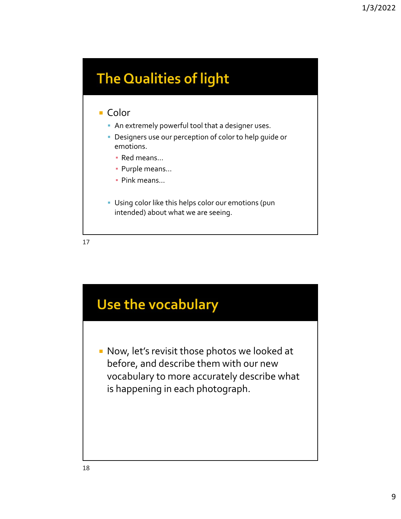## **The Qualities of light**

#### ■ Color

- An extremely powerful tool that a designer uses.
- Designers use our perception of color to help guide or emotions.
	- Red means…
	- Purple means…
	- Pink means…
- Using color like this helps color our emotions (pun intended) about what we are seeing.

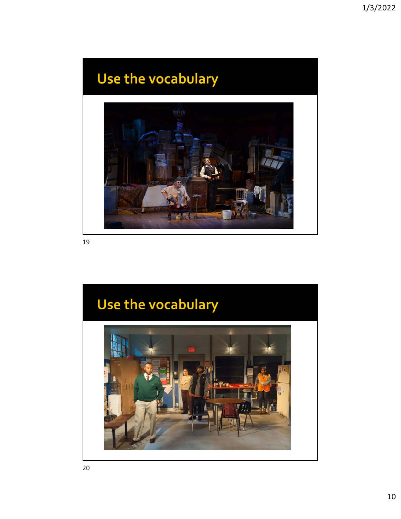## Use the vocabulary



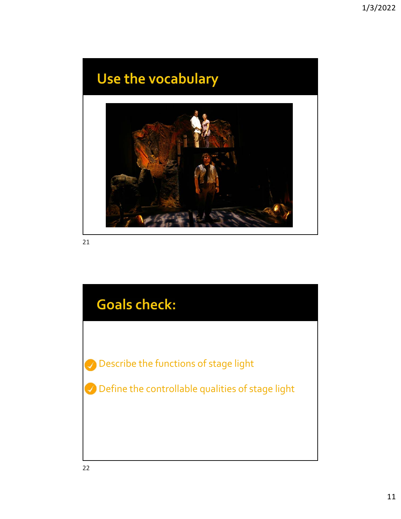## Use the vocabulary



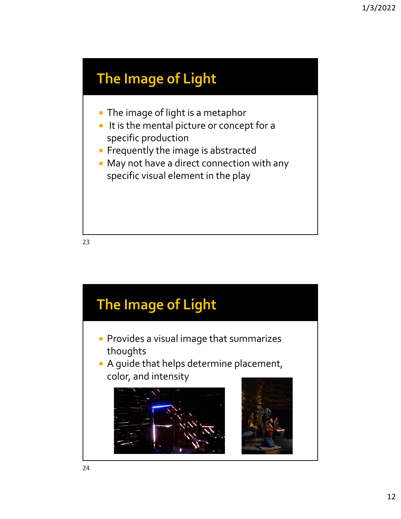## The Image of Light

- **The image of light is a metaphor**
- It is the mental picture or concept for a specific production
- **Filter** Frequently the image is abstracted
- **May not have a direct connection with any** specific visual element in the play

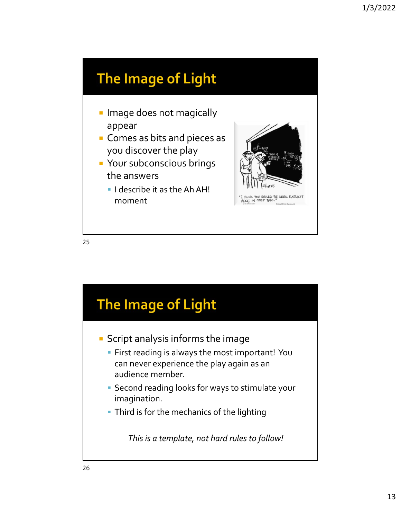## The Image of Light

- **Image does not magically** appear
- **Comes as bits and pieces as** you discover the play
- **P** Your subconscious brings the answers
	- **I** describe it as the Ah AH! moment



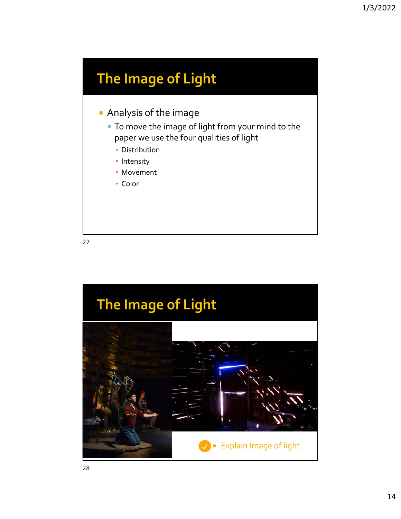## The Image of Light

- **Analysis of the image** 
	- To move the image of light from your mind to the paper we use the four qualities of light
		- **Distribution**
		- **·** Intensity
		- Movement
		- Color

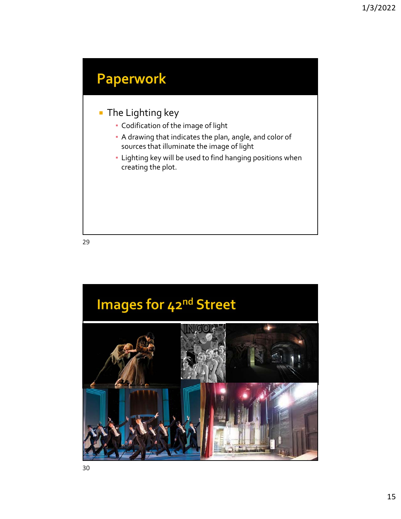## **Paperwork**

### **The Lighting key**

- Codification of the image of light
- A drawing that indicates the plan, angle, and color of sources that illuminate the image of light
- Lighting key will be used to find hanging positions when creating the plot.

29

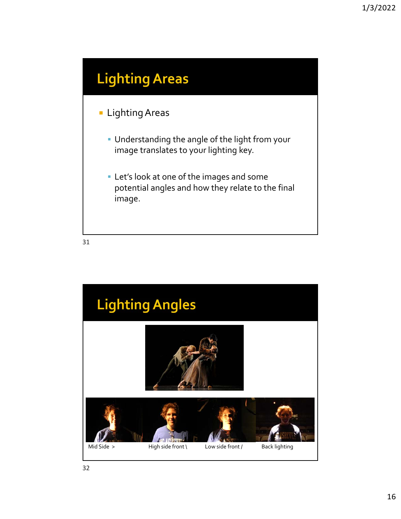## **Lighting Areas**

### **Lighting Areas**

- Understanding the angle of the light from your image translates to your lighting key.
- Let's look at one of the images and some potential angles and how they relate to the final image.

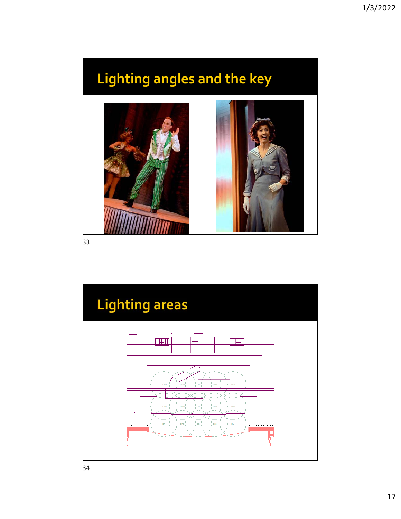# Lighting angles and the key



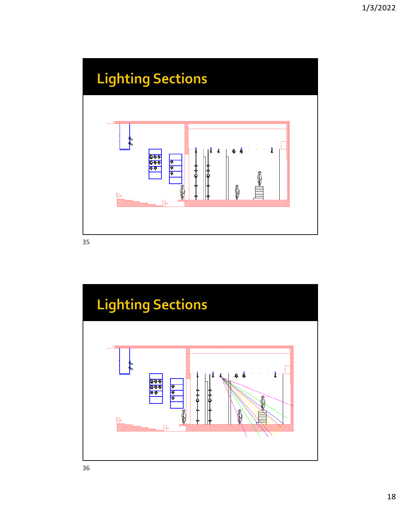